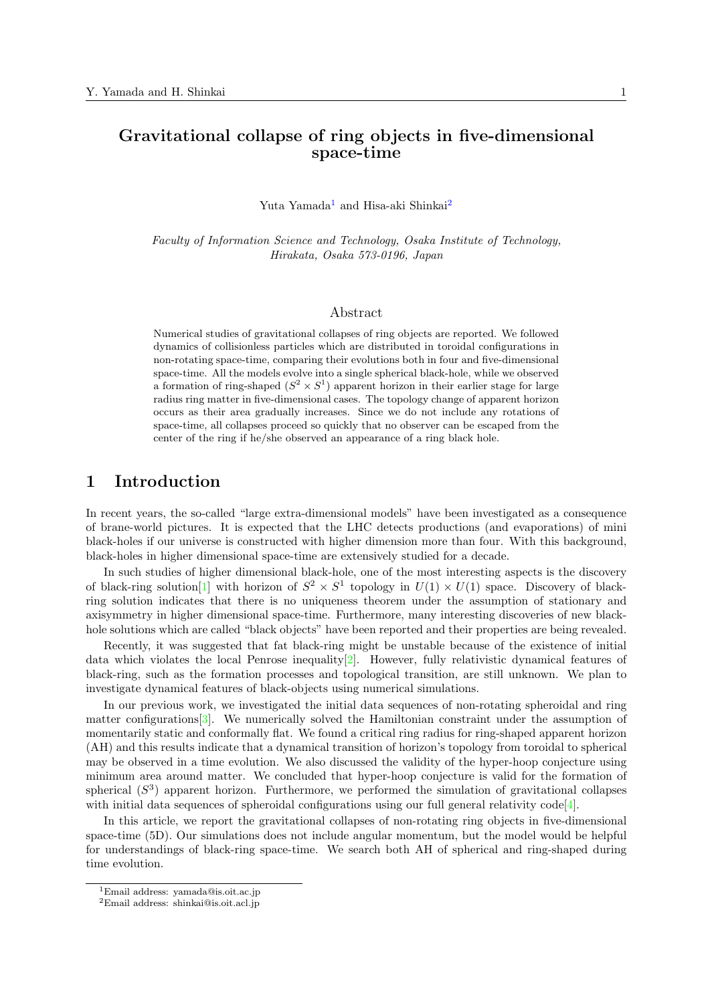# **Gravitational collapse of ring objects in five-dimensional space-time**

Yuta Yamada<sup>1</sup> and Hisa-aki Shinkai<sup>2</sup>

*Faculty of Information Science and Technology, Osaka Institute of Technology, Hirakata, O[sa](#page-0-0)ka 573-0196, Japan*

#### Abstract

Numerical studies of gravitational collapses of ring objects are reported. We followed dynamics of collisionless particles which are distributed in toroidal configurations in non-rotating space-time, comparing their evolutions both in four and five-dimensional space-time. All the models evolve into a single spherical black-hole, while we observed a formation of ring-shaped  $(S^2 \times S^1)$  apparent horizon in their earlier stage for large radius ring matter in five-dimensional cases. The topology change of apparent horizon occurs as their area gradually increases. Since we do not include any rotations of space-time, all collapses proceed so quickly that no observer can be escaped from the center of the ring if he/she observed an appearance of a ring black hole.

### **1 Introduction**

In recent years, the so-called "large extra-dimensional models" have been investigated as a consequence of brane-world pictures. It is expected that the LHC detects productions (and evaporations) of mini black-holes if our universe is constructed with higher dimension more than four. With this background, black-holes in higher dimensional space-time are extensively studied for a decade.

In such studies of higher dimensional black-hole, one of the most interesting aspects is the discovery of black-ring solution<sup>[1]</sup> with horizon of  $S^2 \times S^1$  topology in  $U(1) \times U(1)$  space. Discovery of blackring solution indicates that there is no uniqueness theorem under the assumption of stationary and axisymmetry in higher dimensional space-time. Furthermore, many interesting discoveries of new blackhole solutions which are called "black objects" have been reported and their properties are being revealed.

Recently, it was s[ug](#page-3-0)gested that fat black-ring might be unstable because of the existence of initial data which violates the local Penrose inequality[2]. However, fully relativistic dynamical features of black-ring, such as the formation processes and topological transition, are still unknown. We plan to investigate dynamical features of black-objects using numerical simulations.

In our previous work, we investigated the initial data sequences of non-rotating spheroidal and ring matter configurations  $[3]$ . We numerically solved [th](#page-3-1)e Hamiltonian constraint under the assumption of momentarily static and conformally flat. We found a critical ring radius for ring-shaped apparent horizon (AH) and this results indicate that a dynamical transition of horizon's topology from toroidal to spherical may be observed in a time evolution. We also discussed the validity of the hyper-hoop conjecture using minimum area aroun[d](#page-3-2) matter. We concluded that hyper-hoop conjecture is valid for the formation of spherical (*S* 3 ) apparent horizon. Furthermore, we performed the simulation of gravitational collapses with initial data sequences of spheroidal configurations using our full general relativity code<sup>[4]</sup>.

In this article, we report the gravitational collapses of non-rotating ring objects in five-dimensional space-time (5D). Our simulations does not include angular momentum, but the model would be helpful for understandings of black-ring space-time. We search both AH of spherical and ring-shaped during time evolution.

<sup>1</sup>Email address: yamada@is.oit.ac.jp

<span id="page-0-0"></span><sup>2</sup>Email address: shinkai@is.oit.acl.jp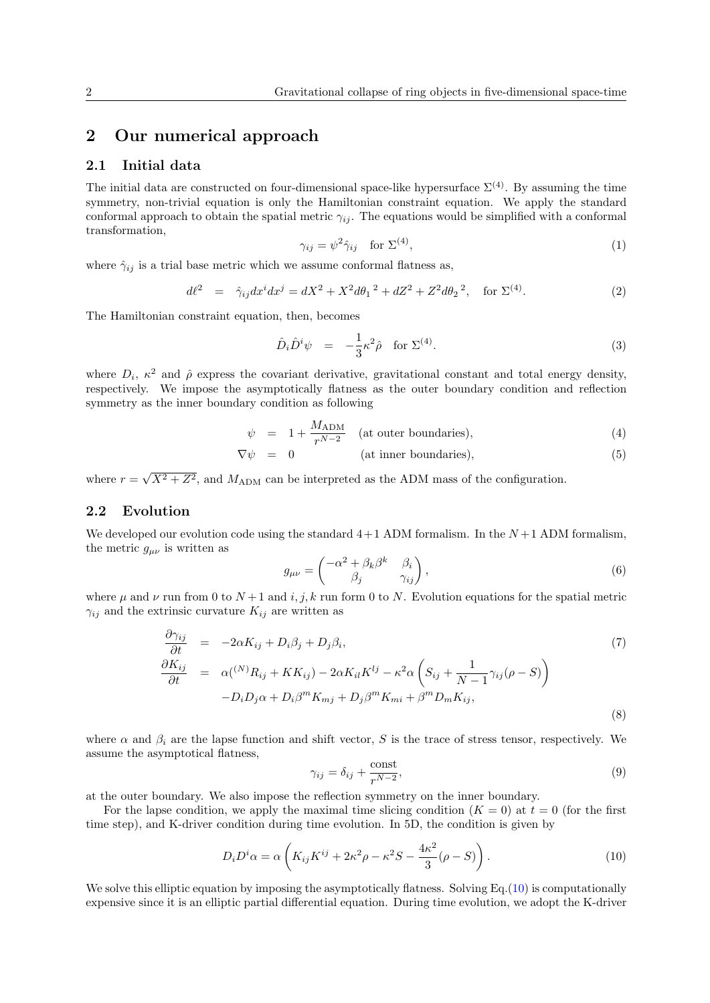### **2 Our numerical approach**

### **2.1 Initial data**

The initial data are constructed on four-dimensional space-like hypersurface  $\Sigma^{(4)}$ . By assuming the time symmetry, non-trivial equation is only the Hamiltonian constraint equation. We apply the standard conformal approach to obtain the spatial metric  $\gamma_{ij}$ . The equations would be simplified with a conformal transformation,

$$
\gamma_{ij} = \psi^2 \hat{\gamma}_{ij} \quad \text{for } \Sigma^{(4)}, \tag{1}
$$

where  $\hat{\gamma}_{ij}$  is a trial base metric which we assume conformal flatness as,

$$
d\ell^2 = \hat{\gamma}_{ij} dx^i dx^j = dX^2 + X^2 d\theta_1^2 + dZ^2 + Z^2 d\theta_2^2, \text{ for } \Sigma^{(4)}.
$$
 (2)

The Hamiltonian constraint equation, then, becomes

$$
\hat{D}_i \hat{D}^i \psi = -\frac{1}{3} \kappa^2 \hat{\rho} \quad \text{for } \Sigma^{(4)}.
$$
\n(3)

where  $D_i$ ,  $\kappa^2$  and  $\hat{\rho}$  express the covariant derivative, gravitational constant and total energy density, respectively. We impose the asymptotically flatness as the outer boundary condition and reflection symmetry as the inner boundary condition as following

$$
\psi = 1 + \frac{M_{\text{ADM}}}{r^{N-2}} \quad \text{(at outer boundaries)}, \tag{4}
$$

$$
\nabla \psi = 0 \qquad \qquad (\text{at inner boundaries}), \qquad \qquad (5)
$$

where  $r = \sqrt{X^2 + Z^2}$ , and  $M_{\text{ADM}}$  can be interpreted as the ADM mass of the configuration.

### **2.2 Evolution**

We developed our evolution code using the standard  $4+1$  ADM formalism. In the  $N+1$  ADM formalism, the metric  $g_{\mu\nu}$  is written as

$$
g_{\mu\nu} = \begin{pmatrix} -\alpha^2 + \beta_k \beta^k & \beta_i \\ \beta_j & \gamma_{ij} \end{pmatrix},\tag{6}
$$

where  $\mu$  and  $\nu$  run from 0 to  $N+1$  and *i, j, k* run form 0 to *N*. Evolution equations for the spatial metric  $\gamma_{ij}$  and the extrinsic curvature  $K_{ij}$  are written as

$$
\frac{\partial \gamma_{ij}}{\partial t} = -2\alpha K_{ij} + D_i \beta_j + D_j \beta_i,
$$
\n
$$
\frac{\partial K_{ij}}{\partial t} = \alpha({}^{(N)}R_{ij} + KK_{ij}) - 2\alpha K_{il}K^{lj} - \kappa^2 \alpha \left( S_{ij} + \frac{1}{N-1} \gamma_{ij} (\rho - S) \right)
$$
\n
$$
-D_i D_j \alpha + D_i \beta^m K_{mj} + D_j \beta^m K_{mi} + \beta^m D_m K_{ij},
$$
\n(8)

where  $\alpha$  and  $\beta_i$  are the lapse function and shift vector, *S* is the trace of stress tensor, respectively. We assume the asymptotical flatness,

$$
\gamma_{ij} = \delta_{ij} + \frac{\text{const}}{r^{N-2}},\tag{9}
$$

at the outer boundary. We also impose the reflection symmetry on the inner boundary.

For the lapse condition, we apply the maximal time slicing condition  $(K = 0)$  at  $t = 0$  (for the first time step), and K-driver condition during time evolution. In 5D, the condition is given by

$$
D_i D^i \alpha = \alpha \left( K_{ij} K^{ij} + 2\kappa^2 \rho - \kappa^2 S - \frac{4\kappa^2}{3} (\rho - S) \right). \tag{10}
$$

We solve this elliptic equation by imposing the asymptotically flatness. Solving Eq.(10) is computationally expensive since it is an elliptic partial differential equation. During time evolution, we adopt the K-driver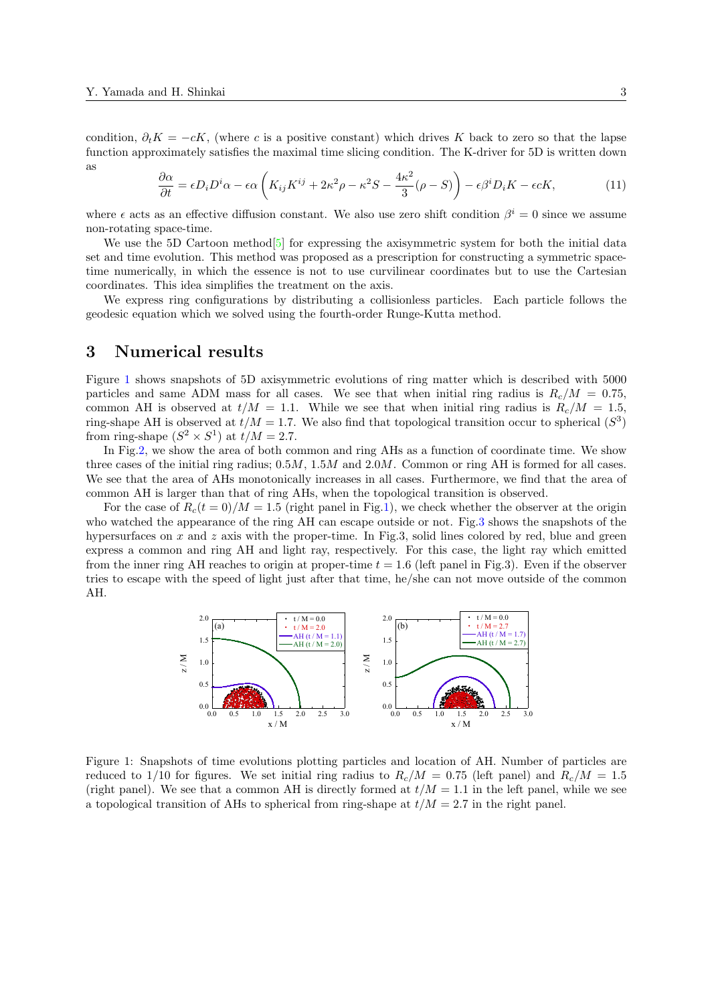condition,  $\partial_t K = -cK$ , (where *c* is a positive constant) which drives K back to zero so that the lapse function approximately satisfies the maximal time slicing condition. The K-driver for 5D is written down as

$$
\frac{\partial \alpha}{\partial t} = \epsilon D_i D^i \alpha - \epsilon \alpha \left( K_{ij} K^{ij} + 2\kappa^2 \rho - \kappa^2 S - \frac{4\kappa^2}{3} (\rho - S) \right) - \epsilon \beta^i D_i K - \epsilon c K, \tag{11}
$$

where  $\epsilon$  acts as an effective diffusion constant. We also use zero shift condition  $\beta^i = 0$  since we assume non-rotating space-time.

We use the 5D Cartoon method<sup>[5]</sup> for expressing the axisymmetric system for both the initial data set and time evolution. This method was proposed as a prescription for constructing a symmetric spacetime numerically, in which the essence is not to use curvilinear coordinates but to use the Cartesian coordinates. This idea simplifies the treatment on the axis.

We express ring configurations [by](#page-3-3) distributing a collisionless particles. Each particle follows the geodesic equation which we solved using the fourth-order Runge-Kutta method.

### **3 Numerical results**

Figure 1 shows snapshots of 5D axisymmetric evolutions of ring matter which is described with 5000 particles and same ADM mass for all cases. We see that when initial ring radius is  $R_c/M = 0.75$ , common AH is observed at  $t/M = 1.1$ . While we see that when initial ring radius is  $R_c/M = 1.5$ , ring-shape AH is observed at  $t/M = 1.7$ . We also find that topological transition occur to spherical  $(S^3)$ from ri[ng](#page-2-0)-shape  $(S^2 \times S^1)$  at  $t/M = 2.7$ .

In Fig.2, we show the area of both common and ring AHs as a function of coordinate time. We show three cases of the initial ring radius; 0*.*5*M*, 1*.*5*M* and 2*.*0*M*. Common or ring AH is formed for all cases. We see that the area of AHs monotonically increases in all cases. Furthermore, we find that the area of common AH is larger than that of ring AHs, when the topological transition is observed.

For th[e](#page-3-4) case of  $R_c(t=0)/M=1.5$  (right panel in Fig.1), we check whether the observer at the origin who watched the appearance of the ring AH can escape outside or not. Fig.3 shows the snapshots of the hypersurfaces on *x* and *z* axis with the proper-time. In Fig.3, solid lines colored by red, blue and green express a common and ring AH and light ray, respectively. For this case, the light ray which emitted from the inner ring AH reaches to origin at proper-time *t* [=](#page-2-0) 1*.*6 (left panel in Fig.3). Even if the observer tries to escape with the speed of light just after that time, he/she can not [m](#page-3-5)ove outside of the common AH.



<span id="page-2-0"></span>Figure 1: Snapshots of time evolutions plotting particles and location of AH. Number of particles are reduced to 1/10 for figures. We set initial ring radius to  $R_c/M = 0.75$  (left panel) and  $R_c/M = 1.5$ (right panel). We see that a common AH is directly formed at  $t/M = 1.1$  in the left panel, while we see a topological transition of AHs to spherical from ring-shape at  $t/M = 2.7$  in the right panel.